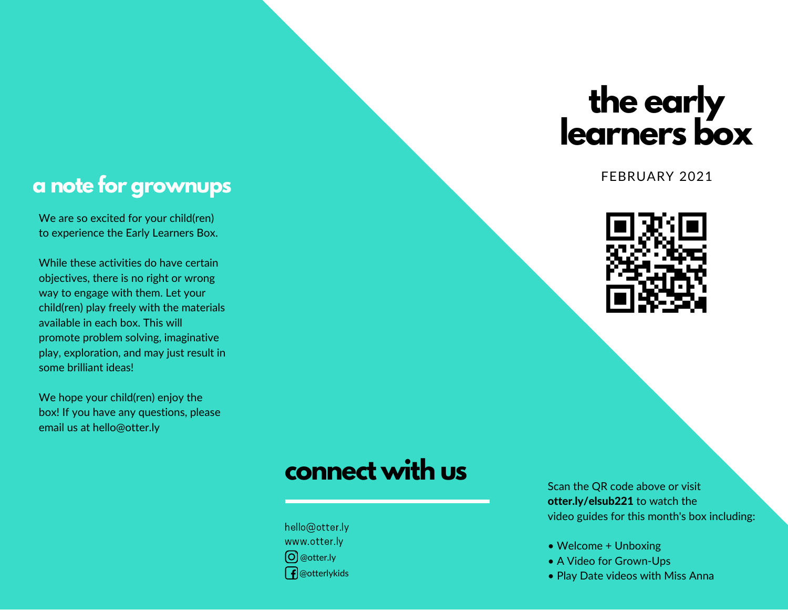# **the early learners box**

FEBRUARY 2021



#### **a note for grownups**

We are so excited for your child(ren) to experience the Early Learners Box.

While these activities do have certain objectives, there is no right or wrong way to engage with them. Let your child(ren) play freely with the materials available in each box. This will promote problem solving, imaginative play, exploration, and may just result in some brilliant ideas!

We hope your child(ren) enjoy the box! If you have any questions, please email us at hello@otter.ly

# **connect with us**

hello@otter.ly www.otter.ly @otter.ly  $\int$  @otterlykids

Scan the QR code above or visit otter.ly/elsub221 to watch the video guides for this month's box including:

- Welcome + Unboxing
- A Video for Grown-Ups
- Play Date videos with Miss Anna